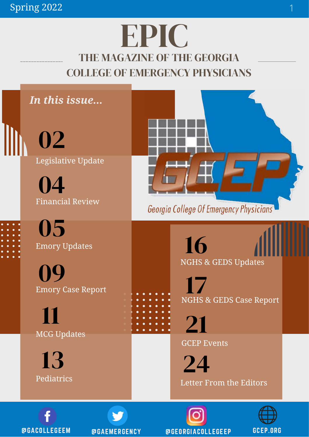# THE MAGAZINE OF THE GEORGIA COLLEGE OF EMERGENCY PHYSICIANS EPIC





@GACOLLEGEEM @GAEMERGENCY @GEORGIACOLLEGEEP GCEP.ORG

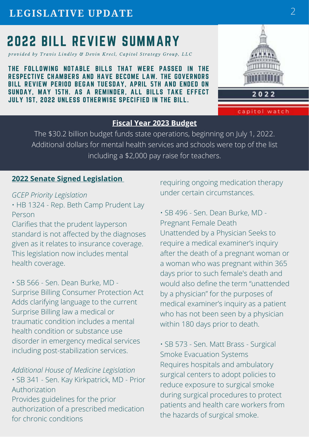# 2022 BILL REVIEW SUMMARY

*provided by Travis Lindley & Devin Krecl, Capitol Strategy Group, LLC* 

THE FOLLOWING NOTABLE BILLS THAT WERE PASSED IN THE RESPECTIVE CHAMBERS AND HAVE BECOME LAW. THE GOVERNORS BILL REVIEW PERIOD BEGAN TUESDAY, APRIL 5TH AND ENDED ON SUNDAY, MAY 15TH. AS A REMINDER, ALL BILLS TAKE EFFECT JULY 1ST, 2022 UNLESS OTHERWISE SPECIFIED IN THE BILL.



capitol watch

#### **Fiscal Year 2023 Budget**

The \$30.2 billion budget funds state operations, beginning on July 1, 2022. Additional dollars for mental health services and schools were top of the list including a \$2,000 pay raise for teachers.

#### **2022 Senate Signed Legislation**

#### *GCEP Priority Legislation*

• HB 1324 - Rep. Beth Camp Prudent Lay Person

Clarifies that the prudent layperson standard is not affected by the diagnoses given as it relates to insurance coverage. This legislation now includes mental health coverage.

• SB 566 - Sen. Dean Burke, MD - Surprise Billing Consumer Protection Act Adds clarifying language to the current Surprise Billing law a medical or traumatic condition includes a mental health condition or substance use disorder in emergency medical services including post-stabilization services.

*Additional House of Medicine Legislation* • SB 341 - Sen. Kay Kirkpatrick, MD - Prior Authorization Provides guidelines for the prior authorization of a prescribed medication for chronic conditions

requiring ongoing medication therapy under certain circumstances.

• SB 496 - Sen. Dean Burke, MD - Pregnant Female Death Unattended by a Physician Seeks to require a medical examiner's inquiry after the death of a pregnant woman or a woman who was pregnant within 365 days prior to such female's death and would also define the term "unattended by a physician" for the purposes of medical examiner's inquiry as a patient who has not been seen by a physician within 180 days prior to death.

• SB 573 - Sen. Matt Brass - Surgical Smoke Evacuation Systems Requires hospitals and ambulatory surgical centers to adopt policies to reduce exposure to surgical smoke during surgical procedures to protect patients and health care workers from the hazards of surgical smoke.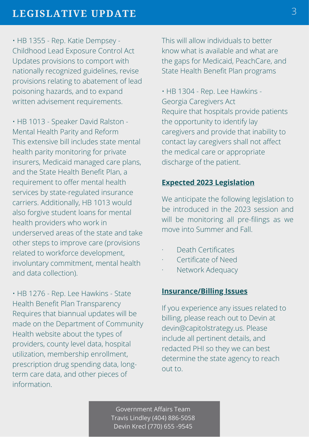• HB 1355 - Rep. Katie Dempsey - Childhood Lead Exposure Control Act Updates provisions to comport with nationally recognized guidelines, revise provisions relating to abatement of lead poisoning hazards, and to expand written advisement requirements.

• HB 1013 - Speaker David Ralston - Mental Health Parity and Reform This extensive bill includes state mental health parity monitoring for private insurers, Medicaid managed care plans, and the State Health Benefit Plan, a requirement to offer mental health services by state-regulated insurance carriers. Additionally, HB 1013 would also forgive student loans for mental health providers who work in underserved areas of the state and take other steps to improve care (provisions related to workforce development, involuntary commitment, mental health and data collection).

• HB 1276 - Rep. Lee Hawkins - State Health Benefit Plan Transparency Requires that biannual updates will be made on the Department of Community Health website about the types of providers, county level data, hospital utilization, membership enrollment, prescription drug spending data, longterm care data, and other pieces of information.

This will allow individuals to better know what is available and what are the gaps for Medicaid, PeachCare, and State Health Benefit Plan programs

• HB 1304 - Rep. Lee Hawkins - Georgia Caregivers Act Require that hospitals provide patients the opportunity to identify lay caregivers and provide that inability to contact lay caregivers shall not affect the medical care or appropriate discharge of the patient.

#### **Expected 2023 Legislation**

We anticipate the following legislation to be introduced in the 2023 session and will be monitoring all pre-filings as we move into Summer and Fall.

- · Death Certificates
- Certificate of Need
- Network Adequacy

#### **Insurance/Billing Issues**

If you experience any issues related to billing, please reach out to Devin at devin@capitolstrategy.us. Please include all pertinent details, and redacted PHI so they we can best determine the state agency to reach out to.

Government Affairs Team Travis Lindley (404) 886-5058 Devin Krecl (770) 655 -9545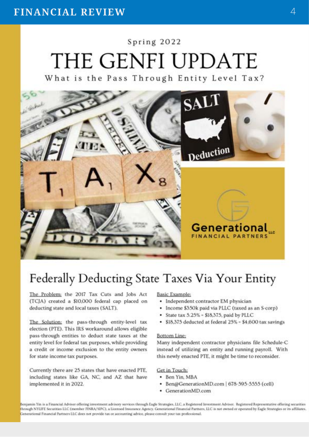# Spring 2022 THE GENFI UPDATE

What is the Pass Through Entity Level Tax?



## Federally Deducting State Taxes Via Your Entity

The Problem; the 2017 Tax Cuts and Jobs Act (TCJA) created a \$10,000 federal cap placed on deducting state and local taxes (SALT).

The Solution; the pass-through entity-level tax election (PTE). This IRS workaround allows eligible pass-through entities to deduct state taxes at the entity level for federal tax purposes, while providing a credit or income exclusion to the entity owners for state income tax purposes.

Currently there are 25 states that have enacted PTE, including states like GA, NC, and AZ that have implemented it in 2022.

#### **Basic Example:**

- Independent contractor EM physician
- Income \$350k paid via PLLC (taxed as an S-corp)
- · State tax 5.25% \$18,375, paid by PLLC
- · \$18,375 deducted at federal 25% \$4,600 tax savings

#### Bottom Line:

Many independent contractor physicians file Schedule-C instead of utilizing an entity and running payroll. With this newly enacted PTE, it might be time to reconsider.

#### Get in Touch:

- · Ben Yin, MBA
- Ben@GenerationMD.com | 678-595-5555 (cell)
- · GenerationMD.com

Benjamin Yin is a Financial Adviser offering investment advisory services through Eagle Strategies, LLC, a Registered Investment Adviser. Registered Representative offering securities through NYLIFE Securities LLC (member FINRA/SIPC), a Liomsed Insurance Agency. Generational Financial Partners, LLC is not owned or operated by Eagle Strategies or its affiliates. Cenerational Financial Partners LLC does not provide tax or accounting advice, please consult your tax professional.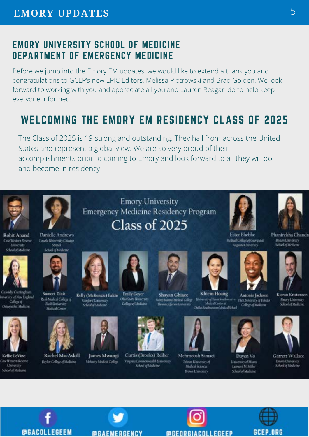## EMORY UNIVERSITY SCHOOL OF MEDICINE DEPARTMENT OF EMERGENCY MEDICINE

Before we jump into the Emory EM updates, we would like to extend a thank you and congratulations to GCEP's new EPIC Editors, Melissa Piotrowski and Brad Golden. We look forward to working with you and appreciate all you and Lauren Reagan do to help keep everyone informed.

## WELCOMING THE EMORY EM RESIDENCY CLASS OF 2025

The Class of 2025 is 19 strong and outstanding. They hail from across the United States and represent a global view. We are so very proud of their accomplishments prior to coming to Emory and look forward to all they will do and become in residency.

**Emory University** 

Emergency Medicine Residency Program

Class of 2025



Rohit Anand Case Western Reserve

Ummin



**Danielle Andrews** Loyola University Chicago Stritch



Cassidy Cuntogham wariny of New England College of **Ostepathic Medicine** 



Kellie LeVine **Tane Western Reserve** University School of Medicine



**Sumeet Dixit** Kelly (McKenzie) Eakin Rush Medical College of Stanford Linnersity<br>School of Medicine Rash University Moltal Center



**@GACOLLEGEEM** 

Rachel MacAskill James Mwangi Baylor College of Medicine Mehavry Medical College



**Emily Geyer** Ohio State University **College of Medicine** 

**@GAEMERGENCY** 







Curtis (Brooks) Reiber Virginia Commonwealth University Sebool of Medicine



Khiem Hoang **University of Texas South** Medical Center at Dallas Southwestern Medical Sche



Tehnin University of Molicel Science **Brown Lleinersity** 

**@GEORGIACOLLEGEEP** 



Antonio Jackson



School of Medicine



Garrett Wallace Emory University<br>School of Medicine















5

Ester Bhebhe Medical College of Georgia at





Kieran Kristensen Enary University School of Medicine

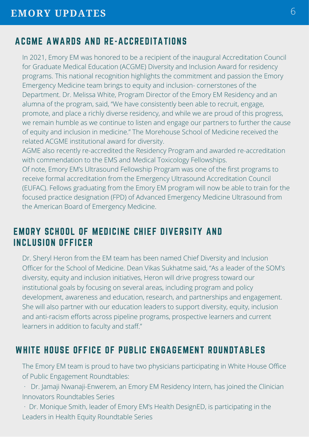## ACGME AWARDS AND RE-ACCREDITATIONS

In 2021, Emory EM was honored to be a recipient of the inaugural Accreditation Council for Graduate Medical Education (ACGME) Diversity and Inclusion Award for residency programs. This national recognition highlights the commitment and passion the Emory Emergency Medicine team brings to equity and inclusion- cornerstones of the Department. Dr. Melissa White, Program Director of the Emory EM Residency and an alumna of the program, said, "We have consistently been able to recruit, engage, promote, and place a richly diverse residency, and while we are proud of this progress, we remain humble as we continue to listen and engage our partners to further the cause of equity and inclusion in medicine." The Morehouse School of Medicine received the related ACGME institutional award for diversity.

AGME also recently re-accredited the Residency Program and awarded re-accreditation with commendation to the EMS and Medical Toxicology Fellowships.

Of note, Emory EM's Ultrasound Fellowship Program was one of the first programs to receive formal accreditation from the [Emergency Ultrasound Accreditation Council](https://eufacouncil.org/) [\(EUFAC\).](https://eufacouncil.org/) Fellows graduating from the Emory EM program will now be able to train for the focused practice designation (FPD) of Advanced Emergency Medicine Ultrasound from the American Board of Emergency Medicine.

## EMORY SCHOOL OF MEDICINE CHIEF DIVERSITY AND INCLUSION OFFICER

Dr. Sheryl Heron from the EM team has been named Chief Diversity and Inclusion Officer for the School of Medicine. Dean Vikas Sukhatme said, "As a leader of the SOM's diversity, equity and inclusion initiatives, Heron will drive progress toward our institutional goals by focusing on several areas, including program and policy development, awareness and education, research, and partnerships and engagement. She will also partner with our education leaders to support diversity, equity, inclusion and anti-racism efforts across pipeline programs, prospective learners and current learners in addition to faculty and staff."

## WHITE HOUSE OFFICE OF PUBLIC ENGAGEMENT ROUNDTABLES

The Emory EM team is proud to have two physicians participating in White House Office of Public Engagement Roundtables:

· Dr. Jamaji Nwanaji-Enwerem, an Emory EM Residency Intern, has joined the Clinician Innovators Roundtables Series

· Dr. Monique Smith, leader of Emory EM's [Health DesignED,](https://www.emoryhealthdesigned.com/) is participating in the Leaders in Health Equity Roundtable Series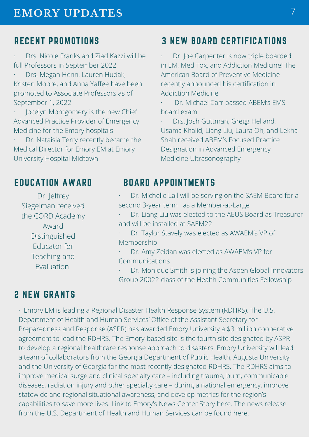## RECENT PROMOTIONS

· Drs. Nicole Franks and Ziad Kazzi will be full Professors in September 2022

· Drs. Megan Henn, Lauren Hudak, Kristen Moore, and Anna Yaffee have been promoted to Associate Professors as of September 1, 2022

Jocelyn Montgomery is the new Chief Advanced Practice Provider of Emergency Medicine for the Emory hospitals

Dr. Nataisia Terry recently became the Medical Director for Emory EM at Emory University Hospital Midtown

## 3 NEW BOARD CERTIFICATIONS

Dr. Joe Carpenter is now triple boarded in EM, Med Tox, and Addiction Medicine! The American Board of Preventive Medicine recently announced his certification in Addiction Medicine

Dr. Michael Carr passed ABEM's EMS board exam

· Drs. Josh Guttman, Gregg Helland, Usama Khalid, Liang Liu, Laura Oh, and Lekha Shah received ABEM's Focused Practice Designation in Advanced Emergency Medicine Ultrasonography

#### EDUCATION AWARD

Dr. Jeffrey Siegelman received the CORD Academy Award Distinguished Educator for Teaching and Evaluation

## BOARD APPOINTMENTS

Dr. Michelle Lall will be serving on the SAEM Board for a second 3-year term as a Member-at-Large

· Dr. Liang Liu was elected to the AEUS Board as Treasurer and will be installed at SAEM22

Dr. Taylor Stavely was elected as AWAEM's VP of Membership

· Dr. Amy Zeidan was elected as AWAEM's VP for Communications

Dr. Monique Smith is joining the Aspen Global Innovators Group 20022 class of the Health Communities Fellowship

## 2 NEW GRANTS

· Emory EM is leading a Regional Disaster Health Response System (RDHRS). The U.S. Department of Health and Human Services' Office of the Assistant Secretary for Preparedness and Response (ASPR) has awarded Emory University a \$3 million cooperative agreement to lead the RDHRS. The Emory-based site is the fourth site designated by ASPR to develop a regional healthcare response approach to disasters. Emory University will lead a team of collaborators from the Georgia Department of Public Health, Augusta University, and the University of Georgia for the most recently designated RDHRS. The RDHRS aims to improve medical surge and clinical specialty care – including trauma, burn, communicable diseases, radiation injury and other specialty care – during a national emergency, improve statewide and regional situational awareness, and develop metrics for the region's capabilities to save more lives. Link to Emory's News Center Story [here.](https://news.emory.edu/stories/2021/10/aspr_regional_disaster_health_response_system/index.html) The news release from the U.S. Department of Health and Human Services can be found [here](https://www.phe.gov/Preparedness/news/Pages/fourth-RDHRS.aspx).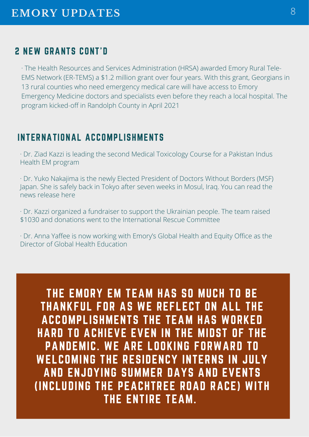## 2 NEW GRANTS CONT'D

· The Health Resources and Services Administration (HRSA) awarded [Emory Rural Tele-](https://med.emory.edu/departments/emergency-medicine/sections/prehospital-disaster/community-impact/emory-rural-tele-ems-network.html)[EMS Network \(ER-TEMS\)](https://med.emory.edu/departments/emergency-medicine/sections/prehospital-disaster/community-impact/emory-rural-tele-ems-network.html) a \$1.2 million grant over four years. With this grant, Georgians in 13 rural counties who need emergency medical care will have access to Emory Emergency Medicine doctors and specialists even before they reach a local hospital. The program kicked-off in Randolph County in April 2021

## INTERNATIONAL ACCOMPLISHMENTS

· Dr. Ziad Kazzi is leading the second Medical Toxicology Course for a Pakistan Indus Health EM program

· Dr. Yuko Nakajima is the newly Elected President of Doctors Without Borders (MSF) Japan. She is safely back in Tokyo after seven weeks in Mosul, Iraq. You can read the news releas[e here](https://cm-email-assets.s3.amazonaws.com/images/ContactMonkey-User-PczbCfC8VEOyIH13mlyOJ0WdRlIWPA5zlVo3CVyMqjyngUdgchkd53Ee457PxHub870z39sThB35DfXqrORqh6i2o57OzBIKZybse9B2Wpu385ixtnW5Syf5vvjJnonJ/News%20Release%20Dr.%20Yuko%20Nakajima.pdf)

· Dr. Kazzi organized a fundraiser to support the Ukrainian people. The team raised \$1030 and donations went to the [International Rescue Committee](https://nam11.safelinks.protection.outlook.com/?url=https%3A%2F%2Fcontactmonkey.com%2Fapi%2Fv1%2Ftracker%3Fcm_session%3De0f2bd53-ca9f-47c1-a31d-123cdb48573a%26cs%3D7bb5a313-2140-49ef-9e76-fc58a4fbce68%26cm_type%3Dlink%26cm_link%3Df84b602c-dd03-42f6-a32c-f2f0c7b24ce4%26cm_destination%3Dhttps%3A%2F%2Fwww.rescue.org&data=04%7C01%7Cbarbara.voss%40emory.edu%7C7546eb58ac79428fc2d708da08d21fad%7Ce004fb9cb0a4424fbcd0322606d5df38%7C0%7C0%7C637831996257005515%7CUnknown%7CTWFpbGZsb3d8eyJWIjoiMC4wLjAwMDAiLCJQIjoiV2luMzIiLCJBTiI6Ik1haWwiLCJXVCI6Mn0%3D%7C3000&sdata=%2FTRU0KNk8LnMim8%2BaN0HcjUO%2FcbNzZymxAXT%2BAmZphs%3D&reserved=0)

· Dr. Anna Yaffee is now working with Emory's Global Health and Equity Office as the Director of Global Health Education

THE EMORY EM TEAM HAS SO MUCH TO BE THANKFUL FOR AS WE REFLECT ON ALL THE ACCOMPLISHMENTS THE TEAM HAS WORKED HARD TO ACHIEVE EVEN IN THE MIDST OF THE PANDEMIC. WE ARE LOOKING FORWARD TO WELCOMING THE RESIDENCY INTERNS IN JULY AND ENJOYING SUMMER DAYS AND EVENTS (INCLUDING THE PEACHTREE ROAD RACE) WITH THE ENTIRE TEAM.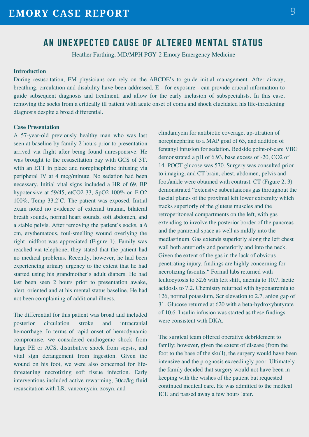#### AN UNEXPECTED CAUSE OF ALTERED MENTAL STATUS

Heather Farthing, MD/MPH PGY-2 Emory Emergency Medicine

#### **Introduction**

During resuscitation, EM physicians can rely on the ABCDE's to guide initial management. After airway, breathing, circulation and disability have been addressed, E - for exposure - can provide crucial information to guide subsequent diagnosis and treatment, and allow for the early inclusion of subspecialists. In this case, removing the socks from a critically ill patient with acute onset of coma and shock elucidated his life-threatening diagnosis despite a broad differential.

#### **Case Presentation**

A 57-year-old previously healthy man who was last seen at baseline by family 2 hours prior to presentation arrived via flight after being found unresponsive. He was brought to the resuscitation bay with GCS of 3T, with an ETT in place and norepinephrine infusing via peripheral IV at 4 mcg/minute. No sedation had been necessary. Initial vital signs included a HR of 69, BP hypotensive at 59/45, etCO2 33, SpO2 100% on FiO2 100%, Temp 33.2'C. The patient was exposed. Initial exam noted no evidence of external trauma, bilateral breath sounds, normal heart sounds, soft abdomen, and a stable pelvis. After removing the patient's socks, a 6 cm, erythematous, foul-smelling wound overlying the right midfoot was appreciated (Figure 1). Family was reached via telephone; they stated that the patient had no medical problems. Recently, however, he had been experiencing urinary urgency to the extent that he had started using his grandmother's adult diapers. He had last been seen 2 hours prior to presentation awake, alert, oriented and at his mental status baseline. He had not been complaining of additional illness.

The differential for this patient was broad and included posterior circulation stroke and intracranial hemorrhage. In terms of rapid onset of hemodynamic compromise, we considered cardiogenic shock from large PE or ACS, distributive shock from sepsis, and vital sign derangement from ingestion. Given the wound on his foot, we were also concerned for lifethreatening necrotizing soft tissue infection. Early interventions included active rewarming, 30cc/kg fluid resuscitation with LR, vancomycin, zosyn, and

clindamycin for antibiotic coverage, up-titration of norepinephrine to a MAP goal of 65, and addition of fentanyl infusion for sedation. Bedside point-of-care VBG demonstrated a pH of 6.93, base excess of -20, CO2 of 14. POCT glucose was 570. Surgery was consulted prior to imaging, and CT brain, chest, abdomen, pelvis and foot/ankle were obtained with contrast. CT (Figure 2, 3) demonstrated "extensive subcutaneous gas throughout the fascial planes of the proximal left lower extremity which tracks superiorly of the gluteus muscles and the retroperitoneal compartments on the left, with gas extending to involve the posterior border of the pancreas and the pararenal space as well as mildly into the mediastinum. Gas extends superiorly along the left chest wall both anteriorly and posteriorly and into the neck. Given the extent of the gas in the lack of obvious penetrating injury, findings are highly concerning for necrotizing fasciitis." Formal labs returned with leukocytosis to 32.6 with left shift, anemia to 10.7, lactic acidosis to 7.2. Chemistry returned with hyponatremia to 126, normal potassium, Scr elevation to 2.7, anion gap of 31. Glucose returned at 620 with a beta-hydroxybutyrate of 10.6. Insulin infusion was started as these findings were consistent with DKA.

The surgical team offered operative debridement to family; however, given the extent of disease (from the foot to the base of the skull), the surgery would have been intensive and the prognosis exceedingly poor. Ultimately the family decided that surgery would not have been in keeping with the wishes of the patient but requested continued medical care. He was admitted to the medical ICU and passed away a few hours later.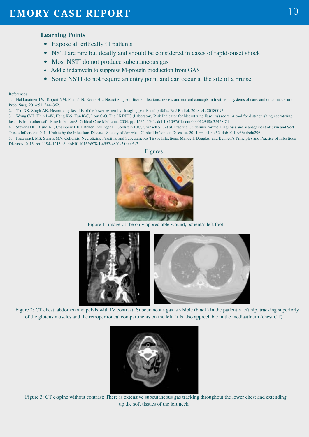#### **Learning Points**

- Expose all critically ill patients
- NSTI are rare but deadly and should be considered in cases of rapid-onset shock
- Most NSTI do not produce subcutaneous gas
- Add clindamycin to suppress M-protein production from GAS
- Some NSTI do not require an entry point and can occur at the site of a bruise

#### References

1. [Hakkarainen TW, Kopari NM, Pham TN, Evans HL. Necrotizing soft tissue infections: review and current concepts in treatment, systems of care, and outcomes. Curr](http://paperpile.com/b/Pc3kAB/o34T) [Probl Surg. 2014;51: 344–362.](http://paperpile.com/b/Pc3kAB/o34T)

- 2. [Tso DK, Singh AK. Necrotizing fasciitis of the lower extremity: imaging pearls and pitfalls. Br J Radiol. 2018;91: 20180093.](http://paperpile.com/b/Pc3kAB/2na2)
- 3. [Wong C-H, Khin L-W, Heng K-S, Tan K-C, Low C-O. The LRINEC \(Laboratory Risk Indicator for Necrotizing Fasciitis\) score: A tool for distinguishing necrotizing](http://paperpile.com/b/Pc3kAB/uU7w) [fasciitis from other soft tissue infections\\*. Critical Care Medicine. 2004. pp. 1535–1541. doi:](http://paperpile.com/b/Pc3kAB/uU7w)[10.1097/01.ccm.0000129486.35458.7d](http://dx.doi.org/10.1097/01.ccm.0000129486.35458.7d)
- 4. [Stevens DL, Bisno AL, Chambers HF, Patchen Dellinger E, Goldstein EJC, Gorbach SL, et al. Practice Guidelines for the Diagnosis and Management of Skin and Soft](http://paperpile.com/b/Pc3kAB/RwyR) [Tissue Infections: 2014 Update by the Infectious Diseases Society of America. Clinical Infectious Diseases. 2014. pp. e10–e52. doi:](http://paperpile.com/b/Pc3kAB/RwyR)[10.1093/cid/ciu296](http://dx.doi.org/10.1093/cid/ciu296)

5. [Pasternack MS, Swartz MN. Cellulitis, Necrotizing Fasciitis, and Subcutaneous Tissue Infections. Mandell, Douglas, and Bennett's Principles and Practice of Infectious](http://paperpile.com/b/Pc3kAB/7Dv9) [Diseases. 2015. pp. 1194–1215.e3. doi:](http://paperpile.com/b/Pc3kAB/7Dv9)[10.1016/b978-1-4557-4801-3.00095-3](http://dx.doi.org/10.1016/b978-1-4557-4801-3.00095-3)





Figure 1: image of the only appreciable wound, patient's left foot



Figure 2: CT chest, abdomen and pelvis with IV contrast: Subcutaneous gas is visible (black) in the patient's left hip, tracking superiorly of the gluteus muscles and the retroperitoneal compartments on the left. It is also appreciable in the mediastinum (chest CT).



Figure 3: CT c-spine without contrast: There is extensive subcutaneous gas tracking throughout the lower chest and extending up the soft tissues of the left neck.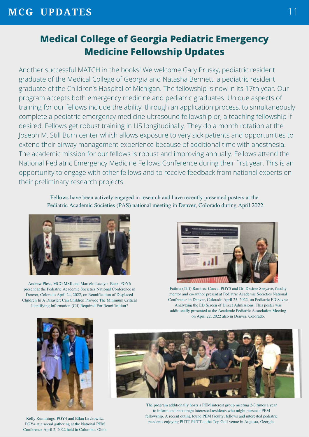## **Medical College of Georgia Pediatric Emergency Medicine Fellowship Updates**

Another successful MATCH in the books! We welcome Gary Prusky, pediatric resident graduate of the Medical College of Georgia and Natasha Bennett, a pediatric resident graduate of the Children's Hospital of Michigan. The fellowship is now in its 17th year. Our program accepts both emergency medicine and pediatric graduates. Unique aspects of training for our fellows include the ability, through an application process, to simultaneously complete a pediatric emergency medicine ultrasound fellowship or, a teaching fellowship if desired. Fellows get robust training in US longitudinally. They do a month rotation at the Joseph M. Still Burn center which allows exposure to very sick patients and opportunities to extend their airway management experience because of additional time with anesthesia. The academic mission for our fellows is robust and improving annually. Fellows attend the National Pediatric Emergency Medicine Fellows Conference during their first year. This is an opportunity to engage with other fellows and to receive feedback from national experts on their preliminary research projects.

> Fellows have been actively engaged in research and have recently presented posters at the Pediatric Academic Societies (PAS) national meeting in Denver, Colorado during April 2022.



Andrew Pless, MCG MSII and Marcelo Lacayo- Baez, PGY6 present at the Pediatric Academic Societies National Conference in Denver, Colorado April 24, 2022, on Reunification of Displaced Children In A Disaster: Can Children Provide The Minimum Critical Identifying Information (Cii) Required For Reunification?



Fatima (Tiff) Ramirez-Cueva, PGY5 and Dr. Desiree Seeyave, faculty mentor and co-author present at Pediatric Academic Societies National Conference in Denver, Colorado April 25, 2022, on Pediatric ED Saves: Analyzing the ED Screen of Direct Admissions. This poster was additionally presented at the Academic Pediatric Association Meeting on April 22, 2022 also in Denver, Colorado.



Kelly Rummings, PGY4 and Eilan Levkowitz, PGY4 at a social gathering at the National PEM Conference April 2, 2022 held in Columbus Ohio.



The program additionally hosts a PEM interest group meeting 2-3 times a year to inform and encourage interested residents who might pursue a PEM fellowship. A recent outing found PEM faculty, fellows and interested pediatric residents enjoying PUTT PUTT at the Top Golf venue in Augusta, Georgia.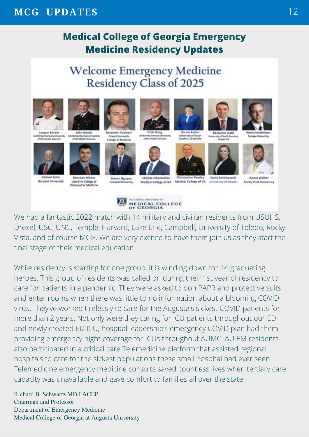## **MCG UPDATES**

## **Medical College of Georgia Emergency Medicine Residency Updates**

## **Welcome Emergency Medicine** Residency Class of 2025







ed Services Unive

of the Health Sciences

Samuel Lyon **Harvard University** 



**Brendan Miccio** Lake Erie College of<br>Osteopathic Medicine



Dresel University<br>College of Medicine





**Chijoke Ohamadike** 



Medical College of GA Medical College of GA University of Toledo

ersity of South<br>Ina. Greenville





Emily Serbinowski

**Aaron Walker** 

**Rocky Vista University** 

Steven Nguyen<br>Campbell University



We had a fantastic 2022 match with 14 military and civilian residents from USUHS, Drexel, USC, UNC, Temple, Harvard, Lake Erie, Campbell, University of Toledo, Rocky Vista, and of course MCG. We are very excited to have them join us as they start the final stage of their medical education.

While residency is starting for one group, it is winding down for 14 graduating heroes. This group of residents was called on during their 1st year of residency to care for patients in a pandemic. They were asked to don PAPR and protective suits and enter rooms when there was little to no information about a blooming COVID virus. They've worked tirelessly to care for the Augusta's sickest COVID patients for more than 2 years. Not only were they caring for ICU patients throughout our ED and newly created ED ICU, hospital leadership's emergency COVID plan had them providing emergency night coverage for ICUs throughout AUMC. AU EM residents also participated in a critical care Telemedicine platform that assisted regional hospitals to care for the sickest populations these small hospital had ever seen. Telemedicine emergency medicine consults saved countless lives when tertiary care capacity was unavailable and gave comfort to families all over the state.

Richard B. Schwartz MD FACEP Chairman and Professor Department of Emergency Medicine Medical College of Georgia at Augusta University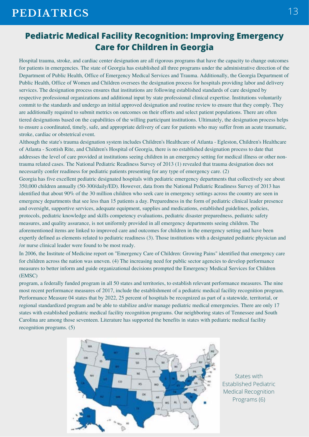#### **Pediatric Medical Facility Recognition: Improving Emergency Care for Children in Georgia**

Hospital trauma, stroke, and cardiac center designation are all rigorous programs that have the capacity to change outcomes for patients in emergencies. The state of Georgia has established all three programs under the administrative direction of the Department of Public Health, Office of Emergency Medical Services and Trauma. Additionally, the Georgia Department of Public Health, Office of Women and Children oversees the designation process for hospitals providing labor and delivery services. The designation process ensures that institutions are following established standards of care designed by respective professional organizations and additional input by state professional clinical expertise. Institutions voluntarily commit to the standards and undergo an initial approved designation and routine review to ensure that they comply. They are additionally required to submit metrics on outcomes on their efforts and select patient populations. There are often tiered designations based on the capabilities of the willing participant institutions. Ultimately, the designation process helps to ensure a coordinated, timely, safe, and appropriate delivery of care for patients who may suffer from an acute traumatic, stroke, cardiac or obstetrical event.

Although the state's trauma designation system includes Children's Healthcare of Atlanta - Egleston, Children's Healthcare of Atlanta - Scottish Rite, and Children's Hospital of Georgia, there is no established designation process to date that addresses the level of care provided at institutions seeing children in an emergency setting for medical illness or other nontrauma related cases. The National Pediatric Readiness Survey of 2013 (1) revealed that trauma designation does not necessarily confer readiness for pediatric patients presenting for any type of emergency care. (2)

Georgia has five excellent pediatric designated hospitals with pediatric emergency departments that collectively see about 350,000 children annually (50-300/daily/ED). However, data from the National Pediatric Readiness Survey of 2013 has identified that about 90% of the 30 million children who seek care in emergency settings across the country are seen in emergency departments that see less than 15 patients a day. Preparedness in the form of pediatric clinical leader presence and oversight, supportive services, adequate equipment, supplies and medications, established guidelines, policies, protocols, pediatric knowledge and skills competency evaluations, pediatric disaster preparedness, pediatric safety measures, and quality assurance, is not uniformly provided in all emergency departments seeing children. The aforementioned items are linked to improved care and outcomes for children in the emergency setting and have been expertly defined as elements related to pediatric readiness (3). Those institutions with a designated pediatric physician and /or nurse clinical leader were found to be most ready.

In 2006, the Institute of Medicine report on "Emergency Care of Children: Growing Pains" identified that emergency care for children across the nation was uneven. (4) The increasing need for public sector agencies to develop performance measures to better inform and guide organizational decisions prompted the Emergency Medical Services for Children (EMSC)

program, a federally funded program in all 50 states and territories, to establish relevant performance measures. The nine most recent performance measures of 2017, include the establishment of a pediatric medical facility recognition program. Performance Measure 04 states that by 2022, 25 percent of hospitals be recognized as part of a statewide, territorial, or regional standardized program and be able to stabilize and/or manage pediatric medical emergencies. There are only 17 states with established pediatric medical facility recognition programs. Our neighboring states of Tennessee and South Carolina are among those seventeen. Literature has supported the benefits in states with pediatric medical facility recognition programs. (5)



States with Established Pediatric Medical Recognition Programs (6)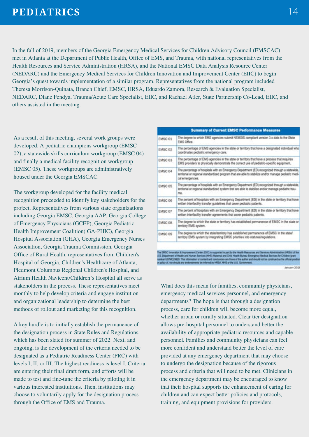In the fall of 2019, members of the Georgia Emergency Medical Services for Children Advisory Council (EMSCAC) met in Atlanta at the Department of Public Health, Office of EMS, and Trauma, with national representatives from the Health Resources and Service Administration (HRSA), and the National EMSC Data Analysis Resource Center (NEDARC) and the Emergency Medical Services for Children Innovation and Improvement Center (EIIC) to begin Georgia's quest towards implementation of a similar program. Representatives from the national program included Theresa Morrison-Quinata, Branch Chief, EMSC, HRSA, Eduardo Zamora, Research & Evaluation Specialist, NEDARC, Diane Fendya, Trauma/Acute Care Specialist, EIIC, and Rachael Atler, State Partnership Co-Lead, EIIC, and others assisted in the meeting.

As a result of this meeting, several work groups were developed. A pediatric champions workgroup (EMSC 02), a statewide skills curriculum workgroup (EMSC 04) and finally a medical facility recognition workgroup (EMSC 05). These workgroups are administratively housed under the Georgia EMSCAC.

The workgroup developed for the facility medical recognition proceeded to identify key stakeholders for the project. Representatives from various state organizations including Georgia EMSC, Georgia AAP, Georgia College of Emergency Physicians (GCEP), Georgia Pediatric Health Improvement Coalition( GA-PHIC), Georgia Hospital Association (GHA), Georgia Emergency Nurses Association, Georgia Trauma Commission, Georgia Office of Rural Health, representatives from Children's Hospital of Georgia, Children's Healthcare of Atlanta, Piedmont Columbus Regional Children's Hospital, and Atrium Health Navicent/Children's Hospital all serve as stakeholders in the process. These representatives meet monthly to help develop criteria and engage institution and organizational leadership to determine the best methods of rollout and marketing for this recognition.

A key hurdle is to initially establish the permanence of the designation process in State Rules and Regulations, which has been slated for summer of 2022. Next, and ongoing, is the development of the criteria needed to be designated as a Pediatric Readiness Center (PRC) with levels I, II, or III. The highest readiness is level I. Criteria are entering their final draft form, and efforts will be made to test and fine-tune the criteria by piloting it in various interested institutions. Then, institutions may choose to voluntarily apply for the designation process through the Office of EMS and Trauma.

| <b>Summary of Current EMSC Performance Measures</b> |                                                                                                                                                                                                                         |  |  |  |
|-----------------------------------------------------|-------------------------------------------------------------------------------------------------------------------------------------------------------------------------------------------------------------------------|--|--|--|
| <b>EMSC 01</b>                                      | The degree to which EMS agencies submit NEMSIS compliant version 3.x data to the State<br>EMS Office.                                                                                                                   |  |  |  |
| EMSC 02                                             | The percentage of EMS agencies in the state or territory that have a designated individual who<br>coordinates pediatric emergency care.                                                                                 |  |  |  |
| EMSC 03                                             | The percentage of EMS agencies in the state or territory that have a process that requires<br>EMS providers to physically demonstrate the correct use of pediatric-specific equipment.                                  |  |  |  |
| EMSC 04                                             | The percentage of hospitals with an Emergency Department (ED) recognized through a statewide.<br>lembrial or regional standardized program that are able to stabilize and/or manage pediatric medi-<br>cal emergencies. |  |  |  |
| <b>EMSC 05</b>                                      | The percentage of hospitals with an Emergency Department (ED) recognized through a statewide.<br>territorial or regional standardized system that are able to stabilize and/or manage pediatric trau-<br>ma.            |  |  |  |
| EMSC 06                                             | The percent of hospitals with an Emergency Department (ED) in the state or territory that have<br>written interfacility transfer guidelines that cover pediatric patients.                                              |  |  |  |
| EMSC 07                                             | The percent of hospitals with an Emergency Department (ED) in the state or territory that have<br>written interfacility transfer agreements that cover pediatric patients.                                              |  |  |  |
| EMSC 08                                             | The degree to which the state or territory has established permanence of EMSC in the state or<br>territory EMS system.                                                                                                  |  |  |  |
| EMSC 09                                             | The degree to which the state/territory has established permanence of EMSC in the state/<br>territory EMS system by integrating EMSC priorities into statutes/regulations.                                              |  |  |  |

**January 3014** 

What does this mean for families, community physicians, emergency medical services personnel, and emergency departments? The hope is that through a designation process, care for children will become more equal, whether urban or rurally situated. Clear tier designation allows pre-hospital personnel to understand better the availability of appropriate pediatric resources and capable personnel. Families and community physicians can feel more confident and understand better the level of care provided at any emergency department that may choose to undergo the designation because of the rigorous process and criteria that will need to be met. Clinicians in the emergency department may be encouraged to know that their hospital supports the enhancement of caring for children and can expect better policies and protocols, training, and equipment provisions for providers.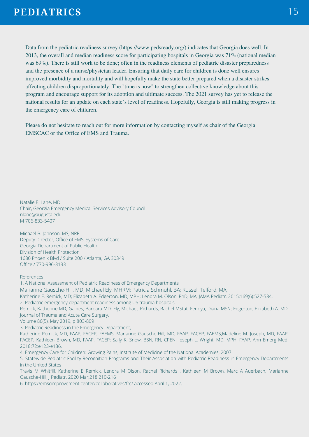Data from the pediatric readiness survey (https://www.pedsready.org/) indicates that Georgia does well. In 2013, the overall and median readiness score for participating hospitals in Georgia was 71% (national median was 69%). There is still work to be done; often in the readiness elements of pediatric disaster preparedness and the presence of a nurse/physician leader. Ensuring that daily care for children is done well ensures improved morbidity and mortality and will hopefully make the state better prepared when a disaster strikes affecting children disproportionately. The "time is now" to strengthen collective knowledge about this program and encourage support for its adoption and ultimate success. The 2021 survey has yet to release the national results for an update on each state's level of readiness. Hopefully, Georgia is still making progress in the emergency care of children.

Please do not hesitate to reach out for more information by contacting myself as chair of the Georgia EMSCAC or the Office of EMS and Trauma.

Natalie E. Lane, MD Chair, Georgia Emergency Medical Services Advisory Council nlane@augusta.edu M 706-833-5407

Michael B. Johnson, MS, NRP Deputy Director, Office of EMS, Systems of Care Georgia Department of Public Health Division of Health Protection 1680 Phoenix Blvd / Suite 200 / Atlanta, GA 30349 Office / 770-996-3133

References:

1. A National Assessment of Pediatric Readiness of Emergency Departments Marianne Gausche-Hill, MD; Michael Ely, MHRM; Patricia Schmuhl, BA; Russell Telford, MA; Katherine E. Remick, MD; Elizabeth A. Edgerton, MD, MPH; Lenora M. Olson, PhD, MA, JAMA Pediatr. 2015;169(6):527-534. 2. Pediatric emergency department readiness among US trauma hospitals Remick, Katherine MD; Gaines, Barbara MD; Ely, Michael; Richards, Rachel MStat; Fendya, Diana MSN; Edgerton, Elizabeth A. MD, Journal of Trauma and Acute Care Surgery, Volume 86(5), May 2019, p 803-809 3. Pediatric Readiness in the Emergency Department, Katherine Remick, MD, FAAP, FACEP, FAEMS; Marianne Gausche-Hill, MD, FAAP, FACEP, FAEMS;Madeline M. Joseph, MD, FAAP, FACEP; Kathleen Brown, MD, FAAP, FACEP; Sally K. Snow, BSN, RN, CPEN; Joseph L. Wright, MD, MPH, FAAP, Ann Emerg Med. 2018;72:e123-e136. 4. Emergency Care for Children: Growing Pains, Institute of Medicine of the National Academies, 2007 5. Statewide Pediatric Facility Recognition Programs and Their Association with Pediatric Readiness in Emergency Departments in the United States Travis M Whitfill, Katherine E Remick, Lenora M Olson, Rachel Richards , Kathleen M Brown, Marc A Auerbach, Marianne Gausche-Hill, J Pediatr, 2020 Mar;218:210-216 6. https://emscimprovement.center/collaboratives/frc/ accessed April 1, 2022.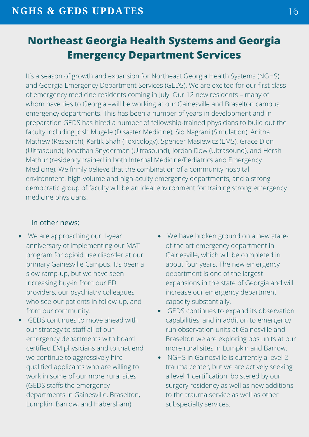## **Northeast Georgia Health Systems and Georgia Emergency Department Services**

It's a season of growth and expansion for Northeast Georgia Health Systems (NGHS) and Georgia Emergency Department Services (GEDS). We are excited for our first class of emergency medicine residents coming in July. Our 12 new residents – many of whom have ties to Georgia –will be working at our Gainesville and Braselton campus emergency departments. This has been a number of years in development and in preparation GEDS has hired a number of fellowship-trained physicians to build out the faculty including Josh Mugele (Disaster Medicine), Sid Nagrani (Simulation), Anitha Mathew (Research), Kartik Shah (Toxicology), Spencer Masiewicz (EMS), Grace Dion (Ultrasound), Jonathan Snyderman (Ultrasound), Jordan Dow (Ultrasound), and Hersh Mathur (residency trained in both Internal Medicine/Pediatrics and Emergency Medicine). We firmly believe that the combination of a community hospital environment, high-volume and high-acuity emergency departments, and a strong democratic group of faculty will be an ideal environment for training strong emergency medicine physicians.

#### In other news:

- We are approaching our 1-year  $\bullet$ anniversary of implementing our MAT program for opioid use disorder at our primary Gainesville Campus. It's been a slow ramp-up, but we have seen increasing buy-in from our ED providers, our psychiatry colleagues who see our patients in follow-up, and from our community.
- GEDS continues to move ahead with our strategy to staff all of our emergency departments with board certified EM physicians and to that end we continue to aggressively hire qualified applicants who are willing to work in some of our more rural sites (GEDS staffs the emergency departments in Gainesville, Braselton, Lumpkin, Barrow, and Habersham).
- We have broken ground on a new stateof-the art emergency department in Gainesville, which will be completed in about four years. The new emergency department is one of the largest expansions in the state of Georgia and will increase our emergency department capacity substantially.
- GEDS continues to expand its observation capabilities, and in addition to emergency run observation units at Gainesville and Braselton we are exploring obs units at our more rural sites in Lumpkin and Barrow.
- NGHS in Gainesville is currently a level 2 trauma center, but we are actively seeking a level 1 certification, bolstered by our surgery residency as well as new additions to the trauma service as well as other subspecialty services.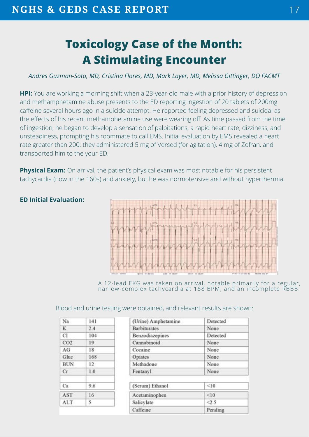# **Toxicology Case of the Month: A Stimulating Encounter**

#### *Andres Guzman-Soto, MD, Cristina Flores, MD, Mark Layer, MD, Melissa Gittinger, DO FACMT*

**HPI:** You are working a morning shift when a 23-year-old male with a prior history of depression and methamphetamine abuse presents to the ED reporting ingestion of 20 tablets of 200mg caffeine several hours ago in a suicide attempt. He reported feeling depressed and suicidal as the effects of his recent methamphetamine use were wearing off. As time passed from the time of ingestion, he began to develop a sensation of palpitations, a rapid heart rate, dizziness, and unsteadiness, prompting his roommate to call EMS. Initial evaluation by EMS revealed a heart rate greater than 200; they administered 5 mg of Versed (for agitation), 4 mg of Zofran, and transported him to the your ED.

**Physical Exam:** On arrival, the patient's physical exam was most notable for his persistent tachycardia (now in the 160s) and anxiety, but he was normotensive and without hyperthermia.



A 12-lead EKG was taken on arrival, notable primarily for a regular, narrow-complex tachycardia at 168 BPM, and an incomplete RBBB.

#### Blood and urine testing were obtained, and relevant results are shown:

| Na.             | 141          |
|-----------------|--------------|
| K               | 2.4          |
| C1<br>T.        | 104          |
| CO <sub>2</sub> | 19           |
| AG              | 18           |
| Gluc            | 168          |
| <b>BUN</b>      | $12^{\circ}$ |
| Сr              | 1.0          |
| Ca              | 9.6          |
| AST             | 16           |
| ALT.            | 5            |

| (Urine) Amphetamine | Detected   |
|---------------------|------------|
| <b>Barbiturates</b> | None       |
| Benzodiazepines     | Detected   |
| Cannabinoid         | None.      |
| Cocaine             | None       |
| Opiates             | None       |
| Methadone           | None       |
| Fentanyl            | None       |
| (Serum) Ethanol     | <10        |
| Acetaminophen       | <10        |
| Salicylate          | $\leq 2.5$ |
| Caffeine            | Pending    |

## **ED Initial Evaluation:**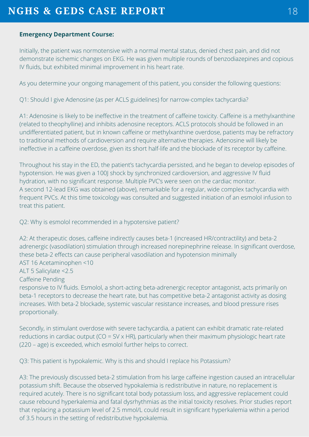#### **Emergency Department Course:**

Initially, the patient was normotensive with a normal mental status, denied chest pain, and did not demonstrate ischemic changes on EKG. He was given multiple rounds of benzodiazepines and copious IV fluids, but exhibited minimal improvement in his heart rate.

As you determine your ongoing management of this patient, you consider the following questions:

Q1: Should I give Adenosine (as per ACLS guidelines) for narrow-complex tachycardia?

A1: Adenosine is likely to be ineffective in the treatment of caffeine toxicity. Caffeine is a methylxanthine (related to theophylline) and inhibits adenosine receptors. ACLS protocols should be followed in an undifferentiated patient, but in known caffeine or methylxanthine overdose, patients may be refractory to traditional methods of cardioversion and require alternative therapies. Adenosine will likely be ineffective in a caffeine overdose, given its short half-life and the blockade of its receptor by caffeine.

Throughout his stay in the ED, the patient's tachycardia persisted, and he began to develop episodes of hypotension. He was given a 100J shock by synchronized cardioversion, and aggressive IV fluid hydration, with no significant response. Multiple PVC's were seen on the cardiac monitor. A second 12-lead EKG was obtained (above), remarkable for a regular, wide complex tachycardia with frequent PVCs. At this time toxicology was consulted and suggested initiation of an esmolol infusion to treat this patient.

Q2: Why is esmolol recommended in a hypotensive patient?

A2: At therapeutic doses, caffeine indirectly causes beta-1 (increased HR/contractility) and beta-2 adrenergic (vasodilation) stimulation through increased norepinephrine release. In significant overdose, these beta-2 effects can cause peripheral vasodilation and hypotension minimally AST 16 Acetaminophen <10

ALT 5 Salicylate <2.5

Caffeine Pending

responsive to IV fluids. Esmolol, a short-acting beta-adrenergic receptor antagonist, acts primarily on beta-1 receptors to decrease the heart rate, but has competitive beta-2 antagonist activity as dosing increases. With beta-2 blockade, systemic vascular resistance increases, and blood pressure rises proportionally.

Secondly, in stimulant overdose with severe tachycardia, a patient can exhibit dramatic rate-related reductions in cardiac output ( $CO = SV \times HR$ ), particularly when their maximum physiologic heart rate (220 – age) is exceeded, which esmolol further helps to correct.

Q3: This patient is hypokalemic. Why is this and should I replace his Potassium?

A3: The previously discussed beta-2 stimulation from his large caffeine ingestion caused an intracellular potassium shift. Because the observed hypokalemia is redistributive in nature, no replacement is required acutely. There is no significant total body potassium loss, and aggressive replacement could cause rebound hyperkalemia and fatal dysrhythmias as the initial toxicity resolves. Prior studies report that replacing a potassium level of 2.5 mmol/L could result in significant hyperkalemia within a period of 3.5 hours in the setting of redistributive hypokalemia.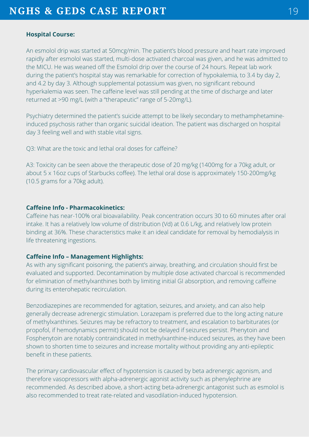#### **Hospital Course:**

An esmolol drip was started at 50mcg/min. The patient's blood pressure and heart rate improved rapidly after esmolol was started, multi-dose activated charcoal was given, and he was admitted to the MICU. He was weaned off the Esmolol drip over the course of 24 hours. Repeat lab work during the patient's hospital stay was remarkable for correction of hypokalemia, to 3.4 by day 2, and 4.2 by day 3. Although supplemental potassium was given, no significant rebound hyperkalemia was seen. The caffeine level was still pending at the time of discharge and later returned at >90 mg/L (with a "therapeutic" range of 5-20mg/L).

Psychiatry determined the patient's suicide attempt to be likely secondary to methamphetamineinduced psychosis rather than organic suicidal ideation. The patient was discharged on hospital day 3 feeling well and with stable vital signs.

Q3: What are the toxic and lethal oral doses for caffeine?

A3: Toxicity can be seen above the therapeutic dose of 20 mg/kg (1400mg for a 70kg adult, or about 5 x 16oz cups of Starbucks coffee). The lethal oral dose is approximately 150-200mg/kg (10.5 grams for a 70kg adult).

#### **Caffeine Info - Pharmacokinetics:**

Caffeine has near-100% oral bioavailability. Peak concentration occurs 30 to 60 minutes after oral intake. It has a relatively low volume of distribution (Vd) at 0.6 L/kg, and relatively low protein binding at 36%. These characteristics make it an ideal candidate for removal by hemodialysis in life threatening ingestions.

#### **Caffeine Info – Management Highlights:**

As with any significant poisoning, the patient's airway, breathing, and circulation should first be evaluated and supported. Decontamination by multiple dose activated charcoal is recommended for elimination of methylxanthines both by limiting initial GI absorption, and removing caffeine during its enterohepatic recirculation.

Benzodiazepines are recommended for agitation, seizures, and anxiety, and can also help generally decrease adrenergic stimulation. Lorazepam is preferred due to the long acting nature of methylxanthines. Seizures may be refractory to treatment, and escalation to barbiturates (or propofol, if hemodynamics permit) should not be delayed if seizures persist. Phenytoin and Fosphenytoin are notably contraindicated in methylxanthine-induced seizures, as they have been shown to shorten time to seizures and increase mortality without providing any anti-epileptic benefit in these patients.

The primary cardiovascular effect of hypotension is caused by beta adrenergic agonism, and therefore vasopressors with alpha-adrenergic agonist activity such as phenylephrine are recommended. As described above, a short-acting beta-adrenergic antagonist such as esmolol is also recommended to treat rate-related and vasodilation-induced hypotension.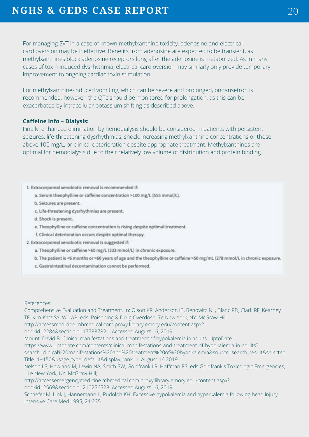For managing SVT in a case of known methylxanthine toxicity, adenosine and electrical cardioversion may be ineffective. Benefits from adenosine are expected to be transient, as methylxanthines block adenosine receptors long after the adenosine is metabolized. As in many cases of toxin-induced dysrhythmia, electrical cardioversion may similarly only provide temporary improvement to ongoing cardiac toxin stimulation.

For methylxanthine-induced vomiting, which can be severe and prolonged, ondansetron is recommended; however, the QTc should be monitored for prolongation, as this can be exacerbated by intracellular potassium shifting as described above.

#### **Caffeine Info – Dialysis:**

Finally, enhanced elimination by hemodialysis should be considered in patients with persistent seizures, life-threatening dysrhythmias, shock, increasing methylxanthine concentrations or those above 100 mg/L, or clinical deterioration despite appropriate treatment. Methylxanthines are optimal for hemodialysis due to their relatively low volume of distribution and protein binding.

#### 1. Extracorporeal xenobiotic removal is recommended if:

a. Serum theophylline or caffeine concentration >100 mg/L (555 mmol/L).

- b. Seizures are present.
- c. Life-threatening dysrhythmias are present.
- d. Shock is present.
- e. Theophylline or caffeine concentration is rising despite optimal treatment.
- f. Clinical deterioration occurs despite optimal therapy.
- 2. Extracorporeal xenobiotic removal is suggested if:
	- a. Theophylline or caffeine >60 mg/L (333 mmol/L) in chronic exposure.
	- b. The patient is <6 months or >60 years of age and the theophylline or caffeine >50 mg/mL (278 mmol/L in chronic exposure.
	- c. Gastrointestinal decontamination cannot be performed.

#### References:

Comprehensive Evaluation and Treatment. In: Olson KR, Anderson IB, Benowitz NL, Blanc PD, Clark RF, Kearney TE, Kim-Katz SY, Wu AB. eds. Poisoning & Drug Overdose, 7e New York, NY: McGraw-Hill;

http://accessmedicine.mhmedical.com.proxy.library.emory.edu/content.aspx?

bookid=2284&sectionid=177337821. Accessed August 16, 2019.

Mount, David B. Clinical manifestations and treatment of hypokalemia in adults. UptoDate.

- https://www.uptodate.com/contents/clinical-manifestations-and-treatment-of-hypokalemia-in-adults?
- search=clinical%20manifestations%20and%20treatment%20of%20hypokalemia&source=search\_result&selected Title=1~150&usage\_type=default&display\_rank=1. August 16 2019.

Nelson LS, Howland M, Lewin NA, Smith SW, Goldfrank LR, Hoffman RS. eds.Goldfrank's Toxicologic Emergencies, 11e New York, NY: McGraw-Hill;

http://accessemergencymedicine.mhmedical.com.proxy.library.emory.edu/content.aspx? bookid=2569&sectionid=210256528. Accessed August 16, 2019.

Schaefer M, Link J, Hannemann L, Rudolph KH. Excessive hypokalemia and hyperkalemia following head injury. Intensive Care Med 1995; 21:235.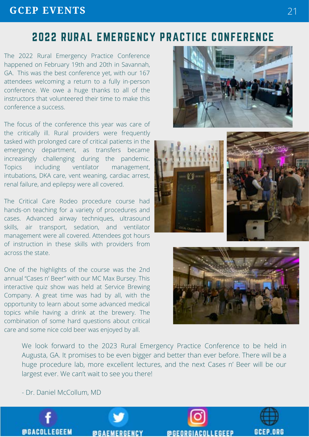## **GCEP EVENTS**

## 2022 RURAL EMERGENCY PRACTICE CONFERENCE

The 2022 Rural Emergency Practice Conference happened on February 19th and 20th in Savannah, GA. This was the best conference yet, with our 167 attendees welcoming a return to a fully in-person conference. We owe a huge thanks to all of the instructors that volunteered their time to make this conference a success.

The focus of the conference this year was care of the critically ill. Rural providers were frequently tasked with prolonged care of critical patients in the emergency department, as transfers became increasingly challenging during the pandemic. Topics including ventilator management, intubations, DKA care, vent weaning, cardiac arrest, renal failure, and epilepsy were all covered.

The Critical Care Rodeo procedure course had hands-on teaching for a variety of procedures and cases. Advanced airway techniques, ultrasound skills, air transport, sedation, and ventilator management were all covered. Attendees got hours of instruction in these skills with providers from across the state.

One of the highlights of the course was the 2nd annual "Cases n' Beer" with our MC Max Bursey. This interactive quiz show was held at Service Brewing Company. A great time was had by all, with the opportunity to learn about some advanced medical topics while having a drink at the brewery. The combination of some hard questions about critical care and some nice cold beer was enjoyed by all.







We look forward to the 2023 Rural Emergency Practice Conference to be held in Augusta, GA. It promises to be even bigger and better than ever before. There will be a huge procedure lab, more excellent lectures, and the next Cases n' Beer will be our largest ever. We can't wait to see you there!

- Dr. Daniel McCollum, MD

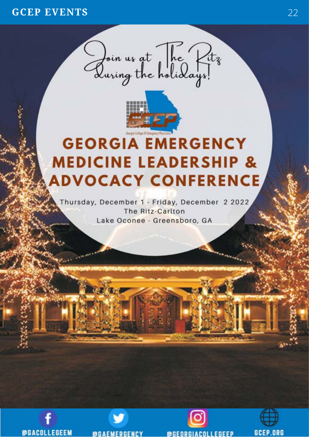## **GCEP EVENTS** 22





# **GEORGIA EMERGENCY MEDICINE LEADERSHIP & ADVOCACY CONFERENCE**

Thursday, December 1 - Friday, December 2 2022 The Ritz-Carlton Lake Oconee - Greensboro, GA







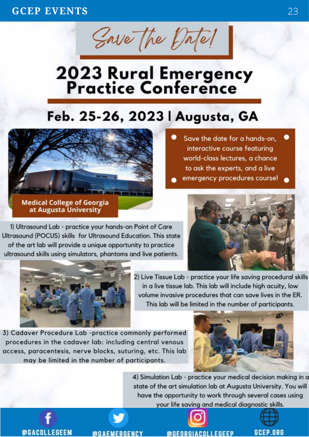Save The Datel

# 2023 Rural Emergency<br>Practice Conference

# Feb. 25-26, 2023 | Augusta, GA



Save the date for a hands-on, interactive course featuring world-class lectures, a chance to ask the experts, and a live emergency procedures course!

at Augusta University

1) Ultrasound Lab - practice your hands-on Point of Care Ultrasound (POCUS) skills for Ultrasound Education. This state of the art lab will provide a unique opportunity to practice ultrasound skills using simulators, phantoms and live patients.





2) Live Tissue Lab - practice your life saving procedural skills in a live tissue lab. This lab will include high acuity, low volume invasive procedures that can save lives in the ER. This lab will be limited in the number of participants.

3) Cadaver Procedure Lab -practice commonly performed procedures in the cadaver lab: including central venous access, paracentesis, nerve blocks, suturing, etc. This lab may be limited in the number of participants.



4) Simulation Lab - practice your medical decision making in a state of the art simulation lab at Augusta University. You will have the opportunity to work through several cases using your life saving and medical diagnostic skills.

**@GACOLLEGEEM** 

**@GAEMERGENCY**